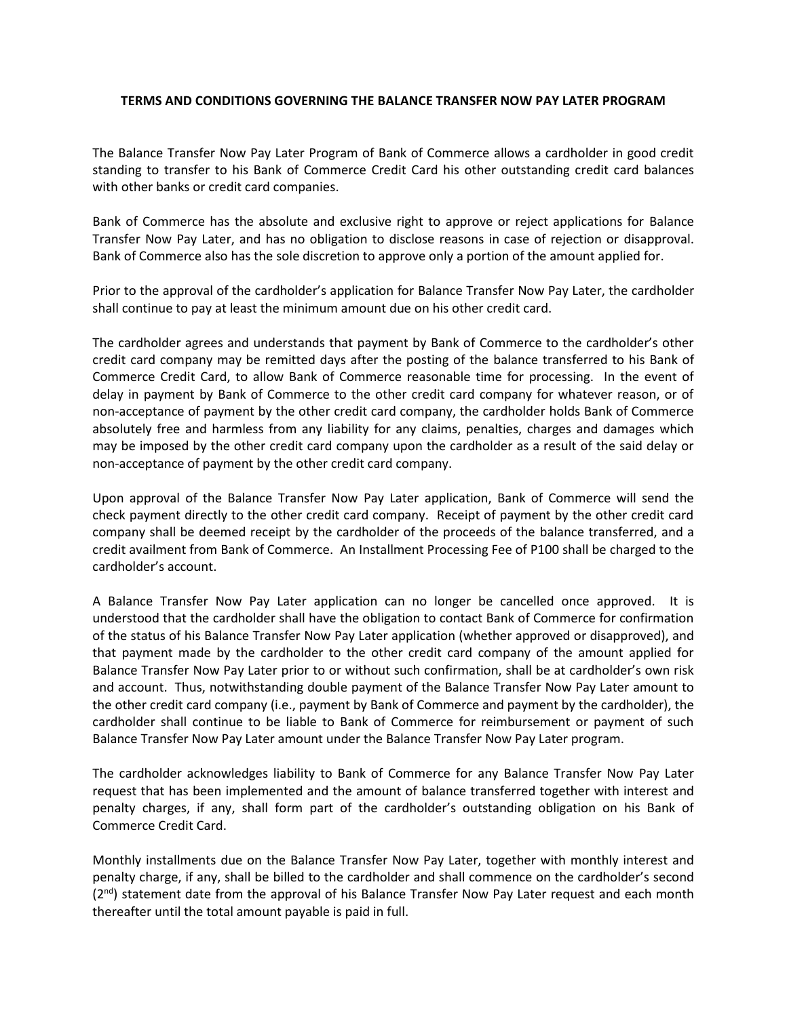## **TERMS AND CONDITIONS GOVERNING THE BALANCE TRANSFER NOW PAY LATER PROGRAM**

The Balance Transfer Now Pay Later Program of Bank of Commerce allows a cardholder in good credit standing to transfer to his Bank of Commerce Credit Card his other outstanding credit card balances with other banks or credit card companies.

Bank of Commerce has the absolute and exclusive right to approve or reject applications for Balance Transfer Now Pay Later, and has no obligation to disclose reasons in case of rejection or disapproval. Bank of Commerce also has the sole discretion to approve only a portion of the amount applied for.

Prior to the approval of the cardholder's application for Balance Transfer Now Pay Later, the cardholder shall continue to pay at least the minimum amount due on his other credit card.

The cardholder agrees and understands that payment by Bank of Commerce to the cardholder's other credit card company may be remitted days after the posting of the balance transferred to his Bank of Commerce Credit Card, to allow Bank of Commerce reasonable time for processing. In the event of delay in payment by Bank of Commerce to the other credit card company for whatever reason, or of non-acceptance of payment by the other credit card company, the cardholder holds Bank of Commerce absolutely free and harmless from any liability for any claims, penalties, charges and damages which may be imposed by the other credit card company upon the cardholder as a result of the said delay or non-acceptance of payment by the other credit card company.

Upon approval of the Balance Transfer Now Pay Later application, Bank of Commerce will send the check payment directly to the other credit card company. Receipt of payment by the other credit card company shall be deemed receipt by the cardholder of the proceeds of the balance transferred, and a credit availment from Bank of Commerce. An Installment Processing Fee of P100 shall be charged to the cardholder's account.

A Balance Transfer Now Pay Later application can no longer be cancelled once approved. It is understood that the cardholder shall have the obligation to contact Bank of Commerce for confirmation of the status of his Balance Transfer Now Pay Later application (whether approved or disapproved), and that payment made by the cardholder to the other credit card company of the amount applied for Balance Transfer Now Pay Later prior to or without such confirmation, shall be at cardholder's own risk and account. Thus, notwithstanding double payment of the Balance Transfer Now Pay Later amount to the other credit card company (i.e., payment by Bank of Commerce and payment by the cardholder), the cardholder shall continue to be liable to Bank of Commerce for reimbursement or payment of such Balance Transfer Now Pay Later amount under the Balance Transfer Now Pay Later program.

The cardholder acknowledges liability to Bank of Commerce for any Balance Transfer Now Pay Later request that has been implemented and the amount of balance transferred together with interest and penalty charges, if any, shall form part of the cardholder's outstanding obligation on his Bank of Commerce Credit Card.

Monthly installments due on the Balance Transfer Now Pay Later, together with monthly interest and penalty charge, if any, shall be billed to the cardholder and shall commence on the cardholder's second  $(2^{nd})$  statement date from the approval of his Balance Transfer Now Pay Later request and each month thereafter until the total amount payable is paid in full.